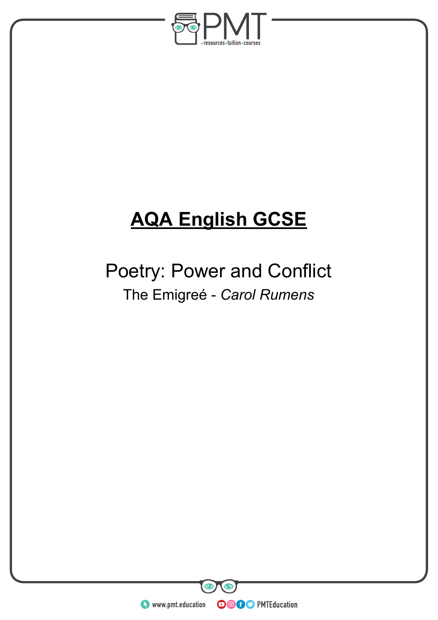

# **AQA English GCSE**

## Poetry: Power and Conflict The Emigreé - *Carol Rumens*

**WWW.pmt.education** 

**OOOO** PMTEducation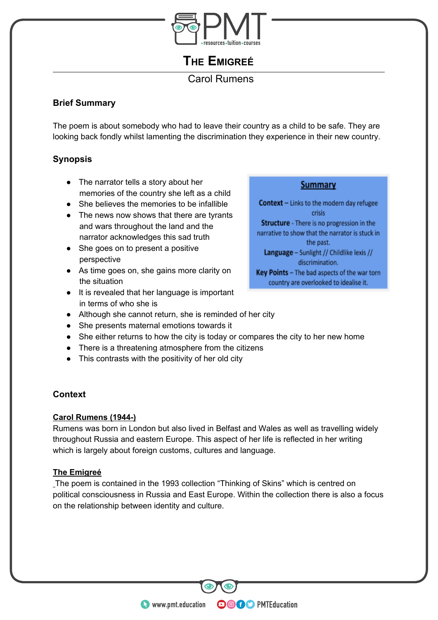

**THE EMIGREÉ**

## Carol Rumens

#### **Brief Summary**

The poem is about somebody who had to leave their country as a child to be safe. They are looking back fondly whilst lamenting the discrimination they experience in their new country.

#### **Synopsis**

- The narrator tells a story about her memories of the country she left as a child
- She believes the memories to be infallible
- The news now shows that there are tyrants and wars throughout the land and the narrator acknowledges this sad truth
- She goes on to present a positive perspective
- As time goes on, she gains more clarity on the situation
- It is revealed that her language is important in terms of who she is

#### • Although she cannot return, she is reminded of her city

- She presents maternal emotions towards it
- She either returns to how the city is today or compares the city to her new home
- There is a threatening atmosphere from the citizens
- This contrasts with the positivity of her old city

#### **Context**

#### **Carol Rumens (1944-)**

Rumens was born in London but also lived in Belfast and Wales as well as travelling widely throughout Russia and eastern Europe. This aspect of her life is reflected in her writing which is largely about foreign customs, cultures and language.

#### **The Emigreé**

The poem is contained in the 1993 collection "Thinking of Skins" which is centred on political consciousness in Russia and East Europe. Within the collection there is also a focus on the relationship between identity and culture.

**OOOO** PMTEducation

Context - Links to the modern day refugee crisis **Structure** - There is no progression in the narrative to show that the narrator is stuck in the past.

Language - Sunlight // Childlike lexis // discrimination.

**Summary** 

Key Points - The bad aspects of the war torn country are overlooked to idealise it.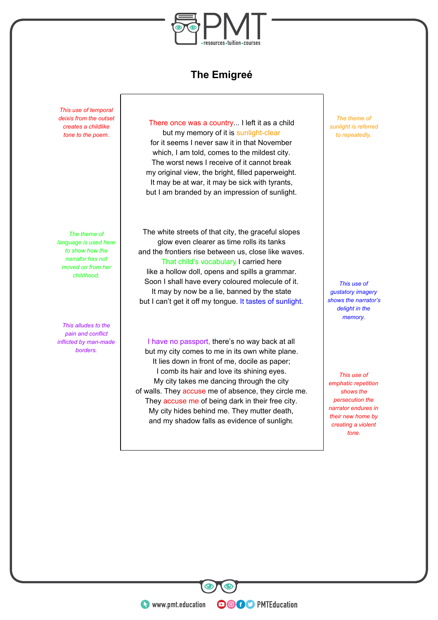

## **The Emigreé**

*This use of temporal deixis from the outset creates a childlike tone to the poem.*

*The theme of language is used here to show how the narrator has not moved on from her childhood.*

*This alludes to the pain and conflict inflicted by man-made borders.*

There once was a country... I left it as a child but my memory of it is sunlight-clear for it seems I never saw it in that November which, I am told, comes to the mildest city. The worst news I receive of it cannot break my original view, the bright, filled paperweight. It may be at war, it may be sick with tyrants, but I am branded by an impression of sunlight.

The white streets of that city, the graceful slopes glow even clearer as time rolls its tanks and the frontiers rise between us, close like waves. That child's vocabulary I carried here like a hollow doll, opens and spills a grammar. Soon I shall have every coloured molecule of it. It may by now be a lie, banned by the state but I can't get it off my tongue. It tastes of sunlight.

I have no passport, there's no way back at all but my city comes to me in its own white plane. It lies down in front of me, docile as paper; I comb its hair and love its shining eyes. My city takes me dancing through the city of walls. They accuse me of absence, they circle me. They accuse me of being dark in their free city. My city hides behind me. They mutter death, and my shadow falls as evidence of sunlight.

**OOOO** PMTEducation

*The theme of sunlight is referred to repeatedly.*

*This use of gustatory imagery shows the narrator's delight in the memory.*

*This use of emphatic repetition shows the persecution the narrator endures in their new home by creating a violent tone.*

**WWW.pmt.education**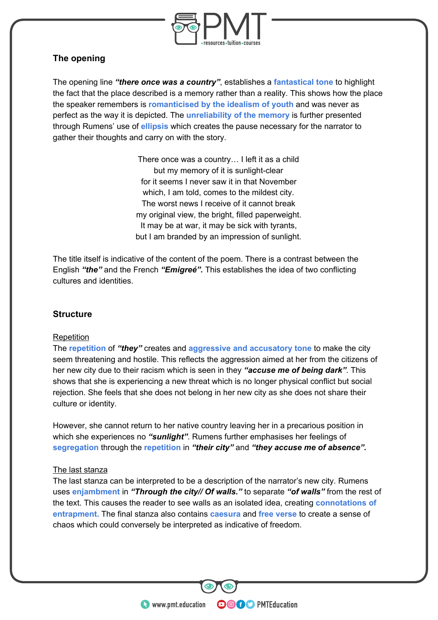

#### **The opening**

The opening line *"there once was a country"*, establishes a **fantastical tone** to highlight the fact that the place described is a memory rather than a reality. This shows how the place the speaker remembers is **romanticised by the idealism of youth** and was never as perfect as the way it is depicted. The **unreliability of the memory** is further presented through Rumens' use of **ellipsis** which creates the pause necessary for the narrator to gather their thoughts and carry on with the story.

> There once was a country… I left it as a child but my memory of it is sunlight-clear for it seems I never saw it in that November which, I am told, comes to the mildest city. The worst news I receive of it cannot break my original view, the bright, filled paperweight. It may be at war, it may be sick with tyrants, but I am branded by an impression of sunlight.

The title itself is indicative of the content of the poem. There is a contrast between the English *"the"* and the French *"Emigreé".* This establishes the idea of two conflicting cultures and identities.

#### **Structure**

#### **Repetition**

The **repetition** of *"they"* creates and **aggressive and accusatory tone** to make the city seem threatening and hostile. This reflects the aggression aimed at her from the citizens of her new city due to their racism which is seen in they *"accuse me of being dark"*. This shows that she is experiencing a new threat which is no longer physical conflict but social rejection. She feels that she does not belong in her new city as she does not share their culture or identity.

However, she cannot return to her native country leaving her in a precarious position in which she experiences no *"sunlight"*. Rumens further emphasises her feelings of **segregation** through the **repetition** in *"their city"* and *"they accuse me of absence".*

#### The last stanza

The last stanza can be interpreted to be a description of the narrator's new city. Rumens uses **enjambment** in *"Through the city// Of walls."* to separate *"of walls"* from the rest of the text. This causes the reader to see walls as an isolated idea, creating **connotations of entrapment.** The final stanza also contains **caesura** and **free verse** to create a sense of chaos which could conversely be interpreted as indicative of freedom.

**OOOO** PMTEducation

**C** www.pmt.education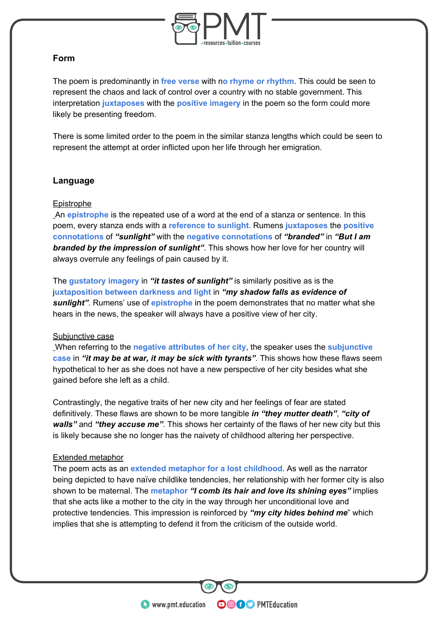

#### **Form**

The poem is predominantly in **free verse** with n**o rhyme or rhythm**. This could be seen to represent the chaos and lack of control over a country with no stable government. This interpretation **juxtaposes** with the **positive imagery** in the poem so the form could more likely be presenting freedom.

There is some limited order to the poem in the similar stanza lengths which could be seen to represent the attempt at order inflicted upon her life through her emigration.

#### **Language**

#### Epistrophe

An **epistrophe** is the repeated use of a word at the end of a stanza or sentence. In this poem, every stanza ends with a **reference to sunlight.** Rumens **juxtaposes** the **positive connotations** of *"sunlight"* with the **negative connotations** of *"branded"* in *"But I am branded by the impression of sunlight"*. This shows how her love for her country will always overrule any feelings of pain caused by it.

The **gustatory imagery** in *"it tastes of sunlight"* is similarly positive as is the j**uxtaposition between darkness and light** in *"my shadow falls as evidence of sunlight"*. Rumens' use of **epistrophe** in the poem demonstrates that no matter what she hears in the news, the speaker will always have a positive view of her city.

#### Subjunctive case

When referring to the **negative attributes of her city**, the speaker uses the **subjunctive case** in *"it may be at war, it may be sick with tyrants"*. This shows how these flaws seem hypothetical to her as she does not have a new perspective of her city besides what she gained before she left as a child.

Contrastingly, the negative traits of her new city and her feelings of fear are stated definitively. These flaws are shown to be more tangible *in "they mutter death"*, *"city of walls"* and *"they accuse me"*. This shows her certainty of the flaws of her new city but this is likely because she no longer has the naivety of childhood altering her perspective.

#### Extended metaphor

The poem acts as an **extended metaphor for a lost childhood**. As well as the narrator being depicted to have naïve childlike tendencies, her relationship with her former city is also shown to be maternal. The **metaphor** *"I comb its hair and love its shining eyes"* implies that she acts like a mother to the city in the way through her unconditional love and protective tendencies. This impression is reinforced by *"my city hides behind me*" which implies that she is attempting to defend it from the criticism of the outside world.

**OOOO** PMTEducation

**WWW.pmt.education**